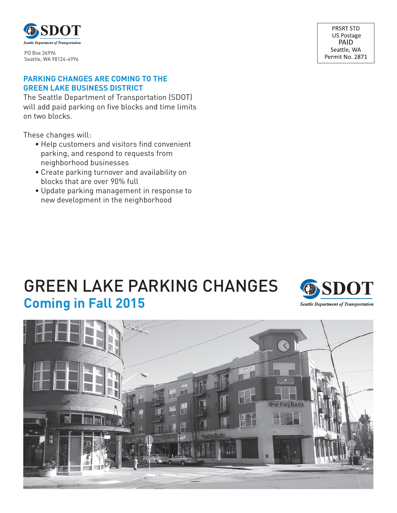

Seattle, WA 98124-4996

### **PARKING CHANGES ARE COMING TO THE GREEN LAKE BUSINESS DISTRICT**

The Seattle Department of Transportation (SDOT) will add paid parking on five blocks and time limits on two blocks.

These changes will:

- ∙ Help customers and visitors find convenient parking, and respond to requests from neighborhood businesses
- ∙ Create parking turnover and availability on blocks that are over 90% full
- ∙ Update parking management in response to new development in the neighborhood

# GREEN LAKE PARKING CHANGES **Coming in Fall 2015**